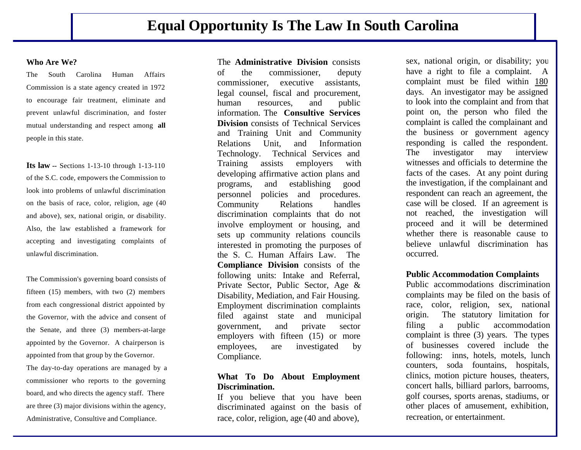### **Who Are We?**

The South Carolina Human Affairs Commission is a state agency created in 1972 to encourage fair treatment, eliminate and prevent unlawful discrimination, and foster mutual understanding and respect among **all** people in this state.

**Its law --** Sections 1-13-10 through 1-13-110 of the S.C. code, empowers the Commission to look into problems of unlawful discrimination on the basis of race, color, religion, age (40 and above), sex, national origin, or disability. Also, the law established a framework for accepting and investigating complaints of unlawful discrimination.

The Commission's governing board consists of fifteen (15) members, with two (2) members from each congressional district appointed by the Governor, with the advice and consent of the Senate, and three (3) members-at-large appointed by the Governor. A chairperson is appointed from that group by the Governor. The day-to-day operations are managed by a commissioner who reports to the governing board, and who directs the agency staff. There

are three (3) major divisions within the agency, Administrative, Consultive and Compliance.

The **Administrative Division** consists of the commissioner, deputy commissioner, executive assistants, legal counsel, fiscal and procurement, human resources, and public information. The **Consultive Services Division** consists of Technical Services and Training Unit and Community Relations Unit, and Information Technology. Technical Services and Training assists employers with developing affirmative action plans and programs, and establishing good personnel policies and procedures. Community Relations handles discrimination complaints that do not involve employment or housing, and sets up community relations councils interested in promoting the purposes of the S. C. Human Affairs Law. The **Compliance Division** consists of the following units: Intake and Referral, Private Sector, Public Sector, Age & Disability, Mediation, and Fair Housing. Employment discrimination complaints filed against state and municipal government, and private sector employers with fifteen (15) or more employees, are investigated by Compliance.

## **What To Do About Employment Discrimination.**

If you believe that you have been discriminated against on the basis of race, color, religion, age (40 and above),

sex, national origin, or disability; you have a right to file a complaint. A complaint must be filed within 180 days. An investigator may be assigned to look into the complaint and from that point on, the person who filed the complaint is called the complainant and the business or government agency responding is called the respondent. The investigator may interview witnesses and officials to determine the facts of the cases. At any point during the investigation, if the complainant and respondent can reach an agreement, the case will be closed. If an agreement is not reached, the investigation will proceed and it will be determined whether there is reasonable cause to believe unlawful discrimination has occurred.

### **Public Accommodation Complaints**

Public accommodations discrimination complaints may be filed on the basis of race, color, religion, sex, national origin. The statutory limitation for filing a public accommodation complaint is three (3) years. The types of businesses covered include the following: inns, hotels, motels, lunch counters, soda fountains, hospitals, clinics, motion picture houses, theaters, concert halls, billiard parlors, barrooms, golf courses, sports arenas, stadiums, or other places of amusement, exhibition, recreation, or entertainment.